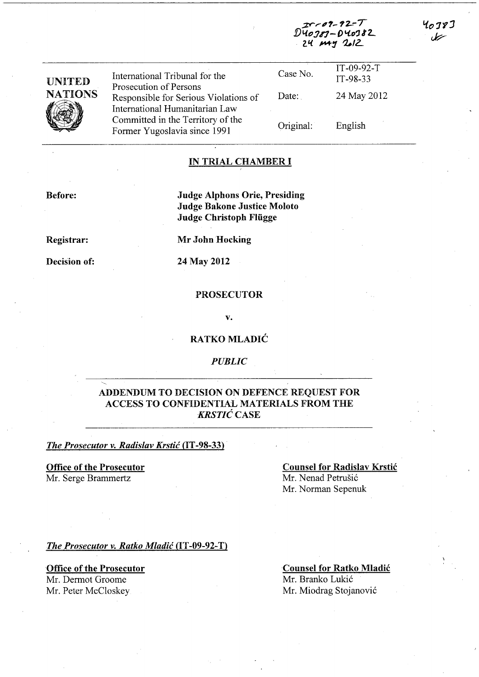| <b>UNITED</b><br><b>NATIONS</b> | International Tribunal for the<br>Prosecution of Persons<br>Responsible for Serious Violations of<br>International Humanitarian Law<br>Committed in the Territory of the<br>Former Yugoslavia since 1991 | Case No.<br>Date: | $IT-09-92-T$<br>IT-98-33<br>24 May 2012 |  |
|---------------------------------|----------------------------------------------------------------------------------------------------------------------------------------------------------------------------------------------------------|-------------------|-----------------------------------------|--|
|                                 |                                                                                                                                                                                                          | Original:         | English                                 |  |

#### IN TRIAL CHAMBER I

Before:

Judge Alphons Orie, Presiding Judge Bakone Justice Moloto Judge Christoph Fliigge

Registrar:

Mr John Hocking

Decision of:

24 May 2012

# PROSECUTOR

v.

### RATKO MLADIC

# *PUBLIC*

# ADDENDUM TO DECISION ON DEFENCE REQUEST FOR ACCESS TO CONFIDENTIAL MATERIALS FROM THE *KRSTIC* CASE

**The Prosecutor v. Radislav Krstić (IT-98-33)** 

Office of the Prosecutor Mr. Serge Brammertz

Counsel for Radislav Krstic Mr. Nenad Petrušić Mr. Norman Sepenuk

zr*-09-92-T*<br>D40*38*9-D40382 24 May 2012

**The Prosecutor v. Ratko Mladić (IT-09-92-T)** 

Office of the Prosecutor Mr. Dermot Groome

Mr. Peter McCloskey

Counsel for Ratko Mladic Mr. Branko Lukic Mr. Miodrag Stojanovic

4078] بيمل